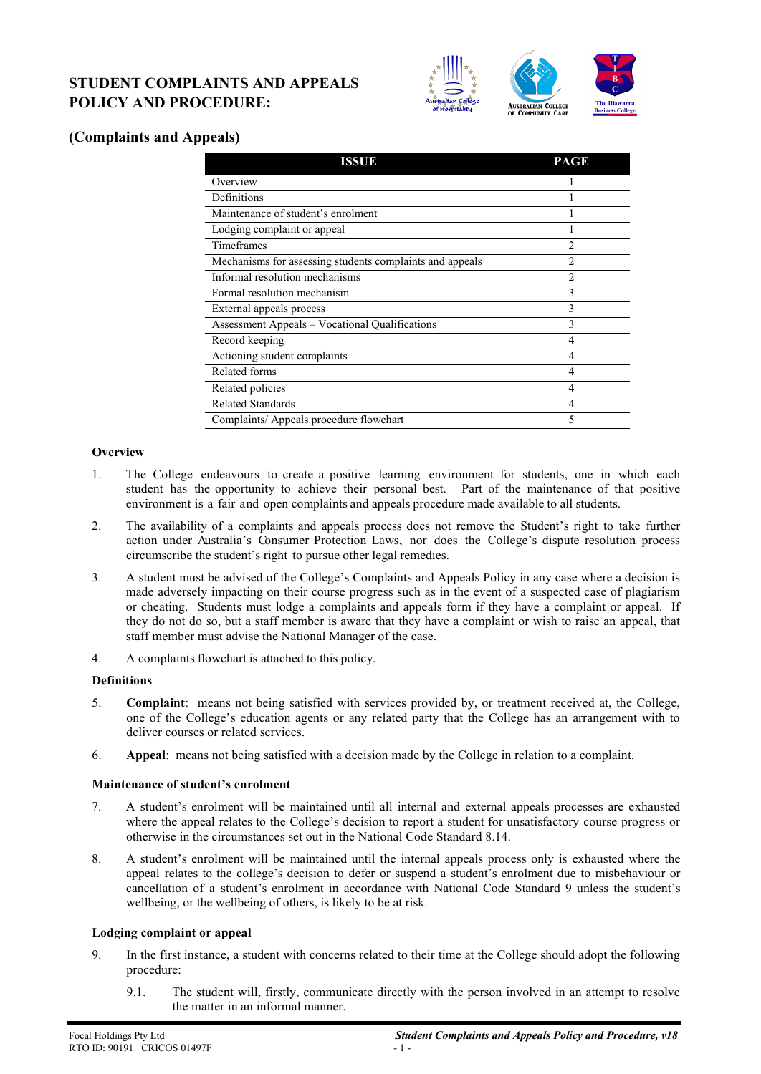# **STUDENT COMPLAINTS AND APPEALS POLICY AND PROCEDURE:**



# **(Complaints and Appeals)**

| ISSUE                                                    | PAGE           |
|----------------------------------------------------------|----------------|
| Overview                                                 |                |
| Definitions                                              |                |
| Maintenance of student's enrolment                       |                |
| Lodging complaint or appeal                              |                |
| Timeframes                                               | $\mathfrak{D}$ |
| Mechanisms for assessing students complaints and appeals | $\mathfrak{D}$ |
| Informal resolution mechanisms                           | $\overline{c}$ |
| Formal resolution mechanism                              | 3              |
| External appeals process                                 | 3              |
| <b>Assessment Appeals - Vocational Qualifications</b>    | 3              |
| Record keeping                                           | 4              |
| Actioning student complaints                             | 4              |
| Related forms                                            | 4              |
| Related policies                                         | 4              |
| <b>Related Standards</b>                                 | 4              |
| Complaints/ Appeals procedure flowchart                  | 5              |

# **Overview**

- 1. The College endeavours to create a positive learning environment for students, one in which each student has the opportunity to achieve their personal best. Part of the maintenance of that positive environment is a fair and open complaints and appeals procedure made available to all students.
- 2. The availability of a complaints and appeals process does not remove the Student's right to take further action under Australia's Consumer Protection Laws, nor does the College's dispute resolution process circumscribe the student's right to pursue other legal remedies.
- 3. A student must be advised of the College's Complaints and Appeals Policy in any case where a decision is made adversely impacting on their course progress such as in the event of a suspected case of plagiarism or cheating. Students must lodge a complaints and appeals form if they have a complaint or appeal. If they do not do so, but a staff member is aware that they have a complaint or wish to raise an appeal, that staff member must advise the National Manager of the case.
- 4. A complaints flowchart is attached to this policy.

#### **Definitions**

- 5. **Complaint**: means not being satisfied with services provided by, or treatment received at, the College, one of the College's education agents or any related party that the College has an arrangement with to deliver courses or related services.
- 6. **Appeal**: means not being satisfied with a decision made by the College in relation to a complaint.

#### **Maintenance of student's enrolment**

- 7. A student's enrolment will be maintained until all internal and external appeals processes are exhausted where the appeal relates to the College's decision to report a student for unsatisfactory course progress or otherwise in the circumstances set out in the National Code Standard 8.14.
- 8. A student's enrolment will be maintained until the internal appeals process only is exhausted where the appeal relates to the college's decision to defer or suspend a student's enrolment due to misbehaviour or cancellation of a student's enrolment in accordance with National Code Standard 9 unless the student's wellbeing, or the wellbeing of others, is likely to be at risk.

#### **Lodging complaint or appeal**

- 9. In the first instance, a student with concerns related to their time at the College should adopt the following procedure:
	- 9.1. The student will, firstly, communicate directly with the person involved in an attempt to resolve the matter in an informal manner.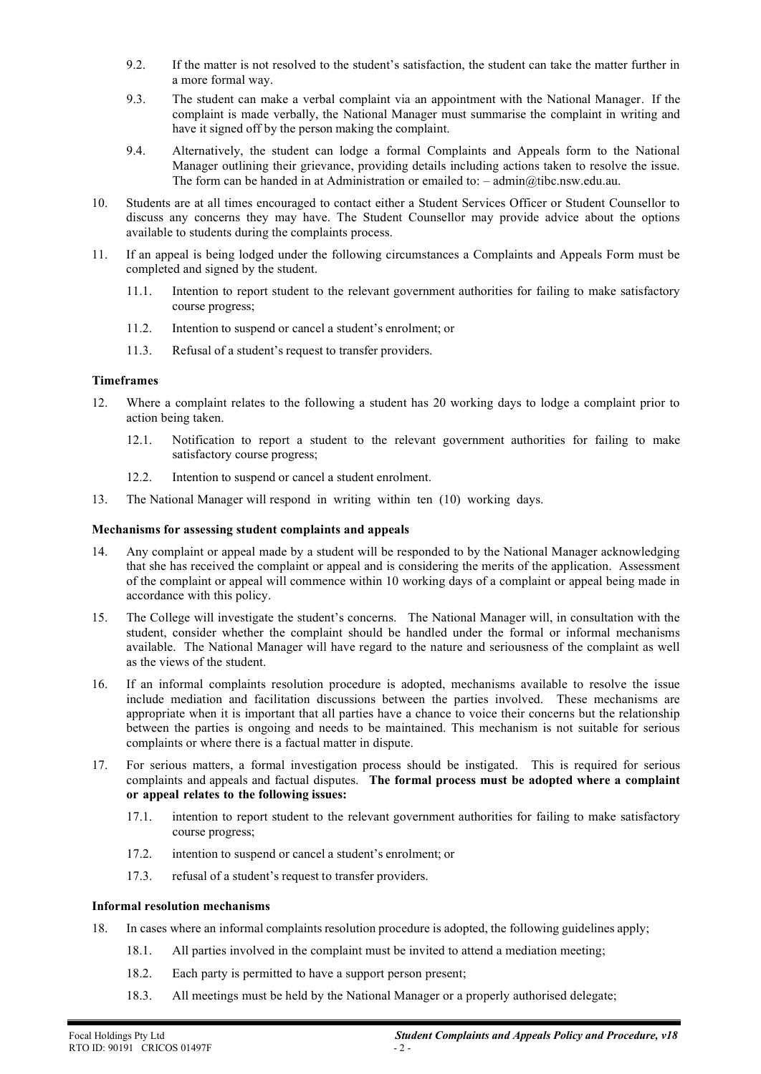- 9.2. If the matter is not resolved to the student's satisfaction, the student can take the matter further in a more formal way.
- 9.3. The student can make a verbal complaint via an appointment with the National Manager. If the complaint is made verbally, the National Manager must summarise the complaint in writing and have it signed off by the person making the complaint.
- 9.4. Alternatively, the student can lodge a formal Complaints and Appeals form to the National Manager outlining their grievance, providing details including actions taken to resolve the issue. The form can be handed in at Administration or emailed to: – admin@tibc.nsw.edu.au.
- 10. Students are at all times encouraged to contact either a Student Services Officer or Student Counsellor to discuss any concerns they may have. The Student Counsellor may provide advice about the options available to students during the complaints process.
- 11. If an appeal is being lodged under the following circumstances a Complaints and Appeals Form must be completed and signed by the student.
	- 11.1. Intention to report student to the relevant government authorities for failing to make satisfactory course progress;
	- 11.2. Intention to suspend or cancel a student's enrolment; or
	- 11.3. Refusal of a student's request to transfer providers.

# **Timeframes**

- 12. Where a complaint relates to the following a student has 20 working days to lodge a complaint prior to action being taken.
	- 12.1. Notification to report a student to the relevant government authorities for failing to make satisfactory course progress;
	- 12.2. Intention to suspend or cancel a student enrolment.
- 13. The National Manager will respond in writing within ten (10) working days.

# **Mechanisms for assessing student complaints and appeals**

- 14. Any complaint or appeal made by a student will be responded to by the National Manager acknowledging that she has received the complaint or appeal and is considering the merits of the application. Assessment of the complaint or appeal will commence within 10 working days of a complaint or appeal being made in accordance with this policy.
- 15. The College will investigate the student's concerns. The National Manager will, in consultation with the student, consider whether the complaint should be handled under the formal or informal mechanisms available. The National Manager will have regard to the nature and seriousness of the complaint as well as the views of the student.
- 16. If an informal complaints resolution procedure is adopted, mechanisms available to resolve the issue include mediation and facilitation discussions between the parties involved. These mechanisms are appropriate when it is important that all parties have a chance to voice their concerns but the relationship between the parties is ongoing and needs to be maintained. This mechanism is not suitable for serious complaints or where there is a factual matter in dispute.
- 17. For serious matters, a formal investigation process should be instigated. This is required for serious complaints and appeals and factual disputes. **The formal process must be adopted where a complaint or appeal relates to the following issues:**
	- 17.1. intention to report student to the relevant government authorities for failing to make satisfactory course progress;
	- 17.2. intention to suspend or cancel a student's enrolment; or
	- 17.3. refusal of a student's request to transfer providers.

# **Informal resolution mechanisms**

- 18. In cases where an informal complaints resolution procedure is adopted, the following guidelines apply;
	- 18.1. All parties involved in the complaint must be invited to attend a mediation meeting;
	- 18.2. Each party is permitted to have a support person present;
	- 18.3. All meetings must be held by the National Manager or a properly authorised delegate;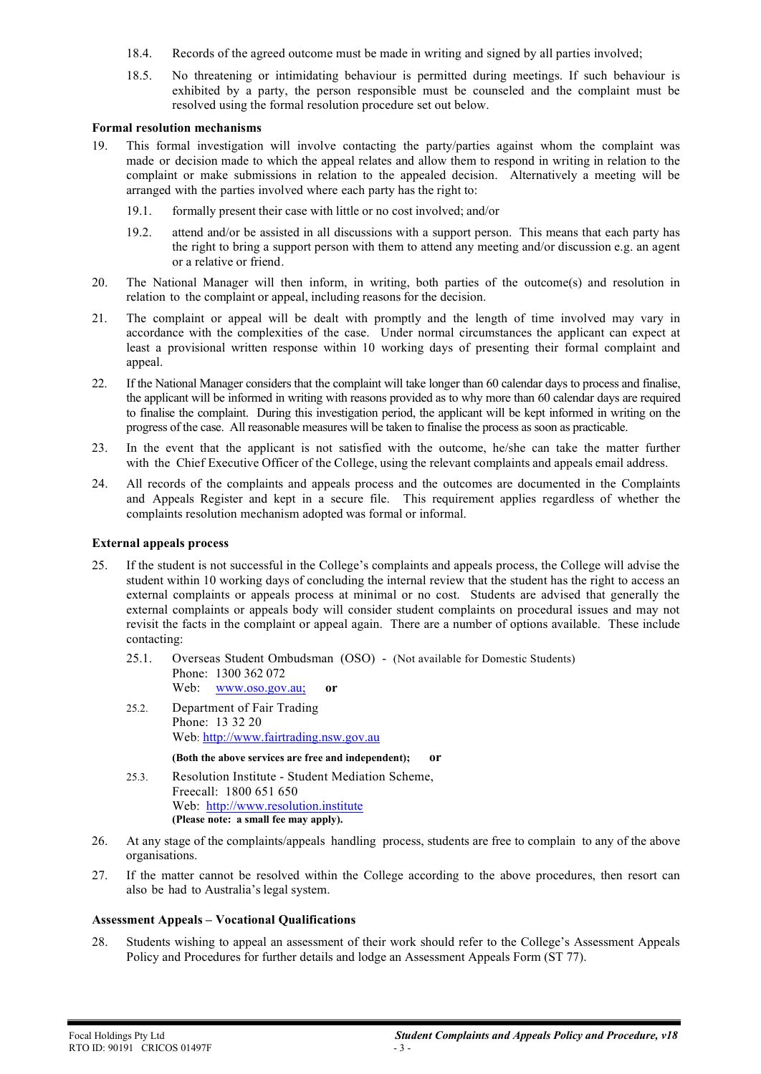- 18.4. Records of the agreed outcome must be made in writing and signed by all parties involved;
- 18.5. No threatening or intimidating behaviour is permitted during meetings. If such behaviour is exhibited by a party, the person responsible must be counseled and the complaint must be resolved using the formal resolution procedure set out below.

#### **Formal resolution mechanisms**

- 19. This formal investigation will involve contacting the party/parties against whom the complaint was made or decision made to which the appeal relates and allow them to respond in writing in relation to the complaint or make submissions in relation to the appealed decision. Alternatively a meeting will be arranged with the parties involved where each party has the right to:
	- 19.1. formally present their case with little or no cost involved; and/or
	- 19.2. attend and/or be assisted in all discussions with a support person. This means that each party has the right to bring a support person with them to attend any meeting and/or discussion e.g. an agent or a relative or friend.
- 20. The National Manager will then inform, in writing, both parties of the outcome(s) and resolution in relation to the complaint or appeal, including reasons for the decision.
- 21. The complaint or appeal will be dealt with promptly and the length of time involved may vary in accordance with the complexities of the case. Under normal circumstances the applicant can expect at least a provisional written response within 10 working days of presenting their formal complaint and appeal.
- 22. If the National Manager considers that the complaint will take longer than 60 calendar days to process and finalise, the applicant will be informed in writing with reasons provided as to why more than 60 calendar days are required to finalise the complaint. During this investigation period, the applicant will be kept informed in writing on the progress of the case. All reasonable measures will be taken to finalise the process as soon as practicable.
- 23. In the event that the applicant is not satisfied with the outcome, he/she can take the matter further with the Chief Executive Officer of the College, using the relevant complaints and appeals email address.
- 24. All records of the complaints and appeals process and the outcomes are documented in the Complaints and Appeals Register and kept in a secure file. This requirement applies regardless of whether the complaints resolution mechanism adopted was formal or informal.

### **External appeals process**

- 25. If the student is not successful in the College's complaints and appeals process, the College will advise the student within 10 working days of concluding the internal review that the student has the right to access an external complaints or appeals process at minimal or no cost. Students are advised that generally the external complaints or appeals body will consider student complaints on procedural issues and may not revisit the facts in the complaint or appeal again. There are a number of options available. These include contacting:
	- 25.1. Overseas Student Ombudsman (OSO) (Not available for Domestic Students) Phone: 1300 362 072 Web: www.oso.gov.au; **or**
	- 25.2. Department of Fair Trading Phone: 13 32 20 Web: [http://www.fairtrading.nsw.gov.au](http://www.fairtrading.nsw.gov.au/)

**(Both the above services are free and independent); or**

- 25.3. Resolution Institute Student Mediation Scheme, Freecall: 1800 651 650 Web: [http://www.resolution.institute](http://www.resolution.institute/) **(Please note: a small fee may apply).**
- 26. At any stage of the complaints/appeals handling process, students are free to complain to any of the above organisations.
- 27. If the matter cannot be resolved within the College according to the above procedures, then resort can also be had to Australia's legal system.

#### **Assessment Appeals – Vocational Qualifications**

28. Students wishing to appeal an assessment of their work should refer to the College's Assessment Appeals Policy and Procedures for further details and lodge an Assessment Appeals Form (ST 77).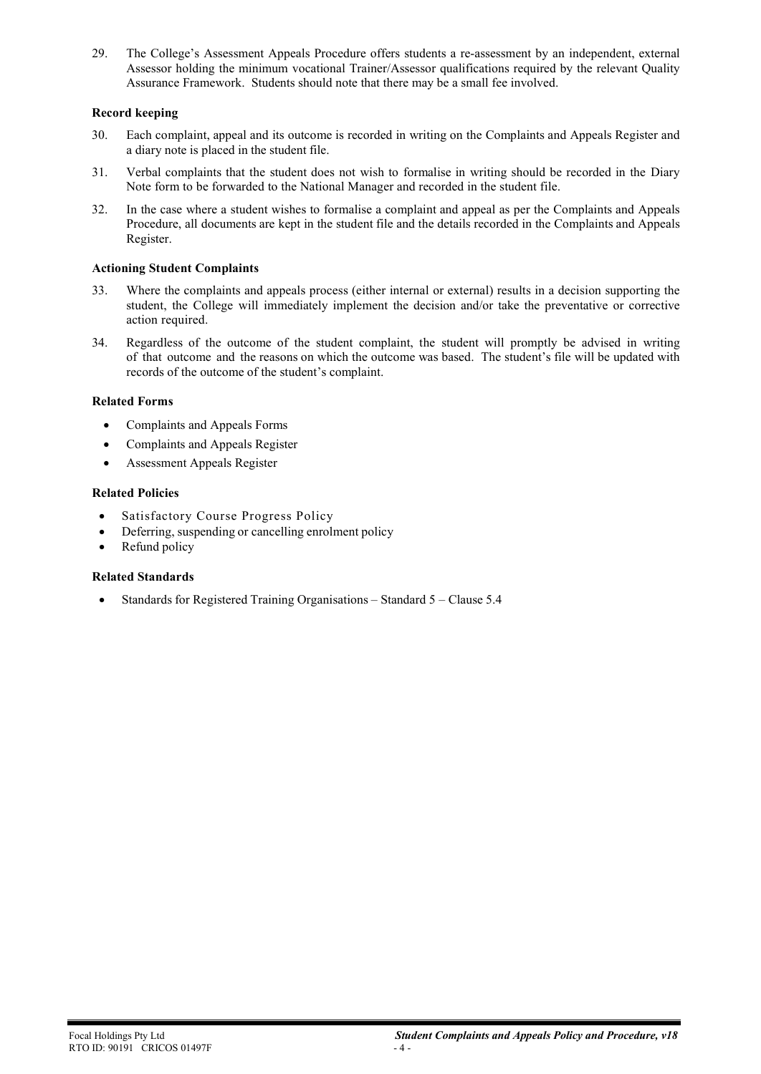29. The College's Assessment Appeals Procedure offers students a re-assessment by an independent, external Assessor holding the minimum vocational Trainer/Assessor qualifications required by the relevant Quality Assurance Framework. Students should note that there may be a small fee involved.

# **Record keeping**

- 30. Each complaint, appeal and its outcome is recorded in writing on the Complaints and Appeals Register and a diary note is placed in the student file.
- 31. Verbal complaints that the student does not wish to formalise in writing should be recorded in the Diary Note form to be forwarded to the National Manager and recorded in the student file.
- 32. In the case where a student wishes to formalise a complaint and appeal as per the Complaints and Appeals Procedure, all documents are kept in the student file and the details recorded in the Complaints and Appeals Register.

#### **Actioning Student Complaints**

- 33. Where the complaints and appeals process (either internal or external) results in a decision supporting the student, the College will immediately implement the decision and/or take the preventative or corrective action required.
- 34. Regardless of the outcome of the student complaint, the student will promptly be advised in writing of that outcome and the reasons on which the outcome was based. The student's file will be updated with records of the outcome of the student's complaint.

#### **Related Forms**

- Complaints and Appeals Forms
- Complaints and Appeals Register
- Assessment Appeals Register

#### **Related Policies**

- Satisfactory Course Progress Policy
- Deferring, suspending or cancelling enrolment policy
- Refund policy

#### **Related Standards**

• Standards for Registered Training Organisations – Standard 5 – Clause 5.4